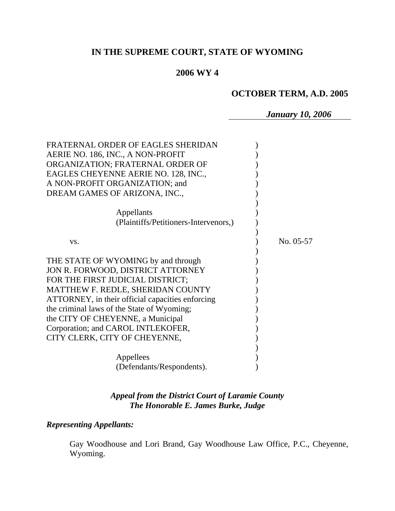# **IN THE SUPREME COURT, STATE OF WYOMING**

# **2006 WY 4**

# **OCTOBER TERM, A.D. 2005**

*January 10, 2006* 

| FRATERNAL ORDER OF EAGLES SHERIDAN               |           |
|--------------------------------------------------|-----------|
| AERIE NO. 186, INC., A NON-PROFIT                |           |
| ORGANIZATION; FRATERNAL ORDER OF                 |           |
| EAGLES CHEYENNE AERIE NO. 128, INC.,             |           |
| A NON-PROFIT ORGANIZATION; and                   |           |
| DREAM GAMES OF ARIZONA, INC.,                    |           |
|                                                  |           |
| Appellants                                       |           |
| (Plaintiffs/Petitioners-Intervenors,)            |           |
|                                                  |           |
| VS.                                              | No. 05-57 |
| THE STATE OF WYOMING by and through              |           |
| JON R. FORWOOD, DISTRICT ATTORNEY                |           |
| FOR THE FIRST JUDICIAL DISTRICT;                 |           |
| MATTHEW F. REDLE, SHERIDAN COUNTY                |           |
| ATTORNEY, in their official capacities enforcing |           |
| the criminal laws of the State of Wyoming;       |           |
| the CITY OF CHEYENNE, a Municipal                |           |
| Corporation; and CAROL INTLEKOFER,               |           |
| CITY CLERK, CITY OF CHEYENNE,                    |           |
|                                                  |           |
| Appellees                                        |           |
| (Defendants/Respondents).                        |           |

# *Appeal from the District Court of Laramie County The Honorable E. James Burke, Judge*

# *Representing Appellants:*

Gay Woodhouse and Lori Brand, Gay Woodhouse Law Office, P.C., Cheyenne, Wyoming.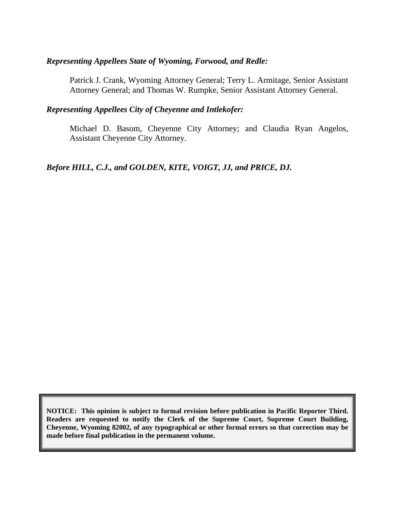# *Representing Appellees State of Wyoming, Forwood, and Redle:*

Patrick J. Crank, Wyoming Attorney General; Terry L. Armitage, Senior Assistant Attorney General; and Thomas W. Rumpke, Senior Assistant Attorney General.

## *Representing Appellees City of Cheyenne and Intlekofer:*

Michael D. Basom, Cheyenne City Attorney; and Claudia Ryan Angelos, Assistant Cheyenne City Attorney.

*Before HILL, C.J., and GOLDEN, KITE, VOIGT, JJ, and PRICE, DJ.* 

**NOTICE: This opinion is subject to formal revision before publication in Pacific Reporter Third. Readers are requested to notify the Clerk of the Supreme Court, Supreme Court Building, Cheyenne, Wyoming 82002, of any typographical or other formal errors so that correction may be made before final publication in the permanent volume.**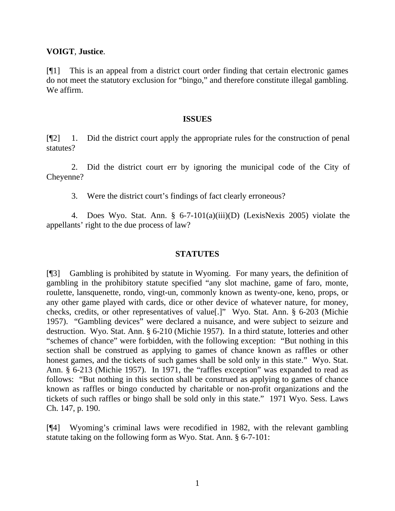### **VOIGT**, **Justice**.

[¶1] This is an appeal from a district court order finding that certain electronic games do not meet the statutory exclusion for "bingo," and therefore constitute illegal gambling. We affirm.

#### **ISSUES**

[¶2] 1. Did the district court apply the appropriate rules for the construction of penal statutes?

 2. Did the district court err by ignoring the municipal code of the City of Cheyenne?

3. Were the district court's findings of fact clearly erroneous?

 4. Does Wyo. Stat. Ann. § 6-7-101(a)(iii)(D) (LexisNexis 2005) violate the appellants' right to the due process of law?

### **STATUTES**

[¶3] Gambling is prohibited by statute in Wyoming. For many years, the definition of gambling in the prohibitory statute specified "any slot machine, game of faro, monte, roulette, lansquenette, rondo, vingt-un, commonly known as twenty-one, keno, props, or any other game played with cards, dice or other device of whatever nature, for money, checks, credits, or other representatives of value[.]" Wyo. Stat. Ann. § 6-203 (Michie 1957). "Gambling devices" were declared a nuisance, and were subject to seizure and destruction. Wyo. Stat. Ann. § 6-210 (Michie 1957). In a third statute, lotteries and other "schemes of chance" were forbidden, with the following exception: "But nothing in this section shall be construed as applying to games of chance known as raffles or other honest games, and the tickets of such games shall be sold only in this state." Wyo. Stat. Ann. § 6-213 (Michie 1957). In 1971, the "raffles exception" was expanded to read as follows: "But nothing in this section shall be construed as applying to games of chance known as raffles or bingo conducted by charitable or non-profit organizations and the tickets of such raffles or bingo shall be sold only in this state." 1971 Wyo. Sess. Laws Ch. 147, p. 190.

[¶4] Wyoming's criminal laws were recodified in 1982, with the relevant gambling statute taking on the following form as Wyo. Stat. Ann. § 6-7-101: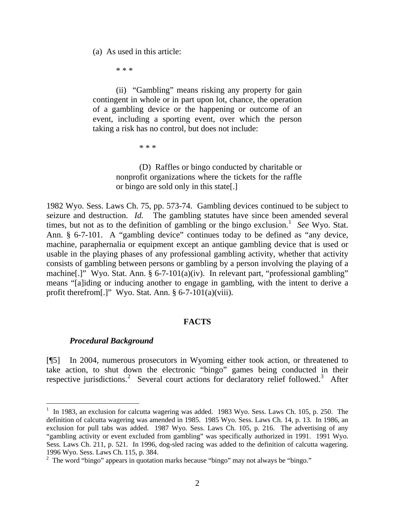(a) As used in this article:

\* \* \*

 (ii) "Gambling" means risking any property for gain contingent in whole or in part upon lot, chance, the operation of a gambling device or the happening or outcome of an event, including a sporting event, over which the person taking a risk has no control, but does not include:

\* \* \*

(D) Raffles or bingo conducted by charitable or nonprofit organizations where the tickets for the raffle or bingo are sold only in this state[.]

1982 Wyo. Sess. Laws Ch. 75, pp. 573-74. Gambling devices continued to be subject to seizure and destruction. *Id.* The gambling statutes have since been amended several times, but not as to the definition of gambling or the bingo exclusion.<sup>[1](#page-3-0)</sup> See Wyo. Stat. Ann. § 6-7-101. A "gambling device" continues today to be defined as "any device, machine, paraphernalia or equipment except an antique gambling device that is used or usable in the playing phases of any professional gambling activity, whether that activity consists of gambling between persons or gambling by a person involving the playing of a machine[.]" Wyo. Stat. Ann. § 6-7-101(a)(iv). In relevant part, "professional gambling" means "[a]iding or inducing another to engage in gambling, with the intent to derive a profit therefrom[.]" Wyo. Stat. Ann. § 6-7-101(a)(viii).

#### **FACTS**

#### *Procedural Background*

 $\overline{a}$ 

[¶5] In 2004, numerous prosecutors in Wyoming either took action, or threatened to take action, to shut down the electronic "bingo" games being conducted in their respective jurisdictions.<sup>[2](#page-3-1)</sup> Several court actions for declaratory relief followed.<sup>[3](#page-3-2)</sup> After

<span id="page-3-2"></span><span id="page-3-0"></span><sup>&</sup>lt;sup>1</sup> In 1983, an exclusion for calcutta wagering was added. 1983 Wyo. Sess. Laws Ch. 105, p. 250. The definition of calcutta wagering was amended in 1985. 1985 Wyo. Sess. Laws Ch. 14, p. 13. In 1986, an exclusion for pull tabs was added. 1987 Wyo. Sess. Laws Ch. 105, p. 216. The advertising of any "gambling activity or event excluded from gambling" was specifically authorized in 1991. 1991 Wyo. Sess. Laws Ch. 211, p. 521. In 1996, dog-sled racing was added to the definition of calcutta wagering. 1996 Wyo. Sess. Laws Ch. 115, p. 384.

<span id="page-3-1"></span><sup>&</sup>lt;sup>2</sup> The word "bingo" appears in quotation marks because "bingo" may not always be "bingo."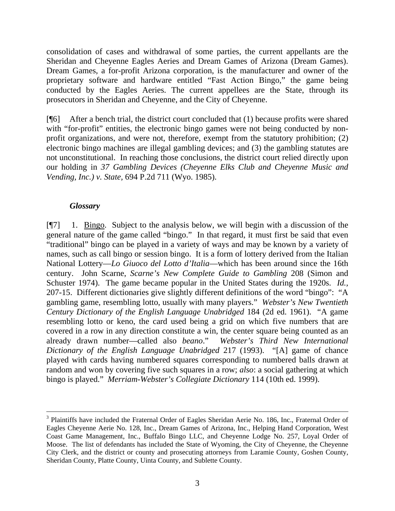consolidation of cases and withdrawal of some parties, the current appellants are the Sheridan and Cheyenne Eagles Aeries and Dream Games of Arizona (Dream Games). Dream Games, a for-profit Arizona corporation, is the manufacturer and owner of the proprietary software and hardware entitled "Fast Action Bingo," the game being conducted by the Eagles Aeries. The current appellees are the State, through its prosecutors in Sheridan and Cheyenne, and the City of Cheyenne.

[¶6] After a bench trial, the district court concluded that (1) because profits were shared with "for-profit" entities, the electronic bingo games were not being conducted by nonprofit organizations, and were not, therefore, exempt from the statutory prohibition; (2) electronic bingo machines are illegal gambling devices; and (3) the gambling statutes are not unconstitutional. In reaching those conclusions, the district court relied directly upon our holding in *37 Gambling Devices (Cheyenne Elks Club and Cheyenne Music and Vending, Inc.) v. State,* 694 P.2d 711 (Wyo. 1985).

## *Glossary*

 $\overline{a}$ 

[¶7] 1. Bingo. Subject to the analysis below, we will begin with a discussion of the general nature of the game called "bingo." In that regard, it must first be said that even "traditional" bingo can be played in a variety of ways and may be known by a variety of names, such as call bingo or session bingo. It is a form of lottery derived from the Italian National Lottery—*Lo Giuoco del Lotto d'Italia*—which has been around since the 16th century. John Scarne, *Scarne's New Complete Guide to Gambling* 208 (Simon and Schuster 1974). The game became popular in the United States during the 1920s. *Id.,*  207-15.Different dictionaries give slightly different definitions of the word "bingo": "A gambling game, resembling lotto, usually with many players." *Webster's New Twentieth Century Dictionary of the English Language Unabridged* 184 (2d ed. 1961). "A game resembling lotto or keno, the card used being a grid on which five numbers that are covered in a row in any direction constitute a win, the center square being counted as an already drawn number—called also *beano*." *Webster's Third New International Dictionary of the English Language Unabridged* 217 (1993). "[A] game of chance played with cards having numbered squares corresponding to numbered balls drawn at random and won by covering five such squares in a row; *also*: a social gathering at which bingo is played." *Merriam-Webster's Collegiate Dictionary* 114 (10th ed. 1999).

<sup>&</sup>lt;sup>3</sup> Plaintiffs have included the Fraternal Order of Eagles Sheridan Aerie No. 186, Inc., Fraternal Order of Eagles Cheyenne Aerie No. 128, Inc., Dream Games of Arizona, Inc., Helping Hand Corporation, West Coast Game Management, Inc., Buffalo Bingo LLC, and Cheyenne Lodge No. 257, Loyal Order of Moose. The list of defendants has included the State of Wyoming, the City of Cheyenne, the Cheyenne City Clerk, and the district or county and prosecuting attorneys from Laramie County, Goshen County, Sheridan County, Platte County, Uinta County, and Sublette County.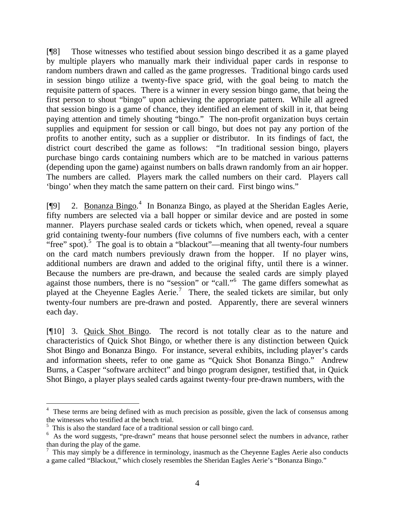[¶8] Those witnesses who testified about session bingo described it as a game played by multiple players who manually mark their individual paper cards in response to random numbers drawn and called as the game progresses. Traditional bingo cards used in session bingo utilize a twenty-five space grid, with the goal being to match the requisite pattern of spaces. There is a winner in every session bingo game, that being the first person to shout "bingo" upon achieving the appropriate pattern. While all agreed that session bingo is a game of chance, they identified an element of skill in it, that being paying attention and timely shouting "bingo." The non-profit organization buys certain supplies and equipment for session or call bingo, but does not pay any portion of the profits to another entity, such as a supplier or distributor. In its findings of fact, the district court described the game as follows: "In traditional session bingo, players purchase bingo cards containing numbers which are to be matched in various patterns (depending upon the game) against numbers on balls drawn randomly from an air hopper. The numbers are called. Players mark the called numbers on their card. Players call 'bingo' when they match the same pattern on their card. First bingo wins."

[¶9] 2. Bonanza Bingo.<sup>[4](#page-5-0)</sup> In Bonanza Bingo, as played at the Sheridan Eagles Aerie, fifty numbers are selected via a ball hopper or similar device and are posted in some manner. Players purchase sealed cards or tickets which, when opened, reveal a square grid containing twenty-four numbers (five columns of five numbers each, with a center "free" spot).<sup>[5](#page-5-1)</sup> The goal is to obtain a "blackout"—meaning that all twenty-four numbers on the card match numbers previously drawn from the hopper. If no player wins, additional numbers are drawn and added to the original fifty, until there is a winner. Because the numbers are pre-drawn, and because the sealed cards are simply played against those numbers, there is no "session" or "call."<sup>[6](#page-5-2)</sup> The game differs somewhat as played at the Cheyenne Eagles Aerie.<sup>[7](#page-5-3)</sup> There, the sealed tickets are similar, but only twenty-four numbers are pre-drawn and posted. Apparently, there are several winners each day.

[¶10] 3. Quick Shot Bingo. The record is not totally clear as to the nature and characteristics of Quick Shot Bingo, or whether there is any distinction between Quick Shot Bingo and Bonanza Bingo. For instance, several exhibits, including player's cards and information sheets, refer to one game as "Quick Shot Bonanza Bingo." Andrew Burns, a Casper "software architect" and bingo program designer, testified that, in Quick Shot Bingo, a player plays sealed cards against twenty-four pre-drawn numbers, with the

<span id="page-5-0"></span><sup>&</sup>lt;sup>4</sup> These terms are being defined with as much precision as possible, given the lack of consensus among the witnesses who testified at the bench trial.

<span id="page-5-1"></span><sup>&</sup>lt;sup>5</sup> This is also the standard face of a traditional session or call bingo card.

<span id="page-5-2"></span><sup>&</sup>lt;sup>6</sup> As the word suggests, "pre-drawn" means that house personnel select the numbers in advance, rather than during the play of the game.

<span id="page-5-3"></span> $<sup>7</sup>$  This may simply be a difference in terminology, inasmuch as the Cheyenne Eagles Aerie also conducts</sup> a game called "Blackout," which closely resembles the Sheridan Eagles Aerie's "Bonanza Bingo."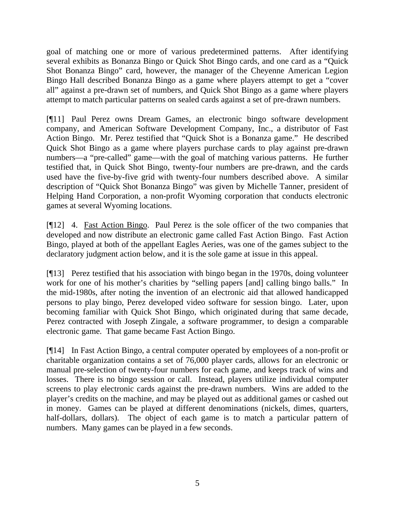goal of matching one or more of various predetermined patterns. After identifying several exhibits as Bonanza Bingo or Quick Shot Bingo cards, and one card as a "Quick Shot Bonanza Bingo" card, however, the manager of the Cheyenne American Legion Bingo Hall described Bonanza Bingo as a game where players attempt to get a "cover all" against a pre-drawn set of numbers, and Quick Shot Bingo as a game where players attempt to match particular patterns on sealed cards against a set of pre-drawn numbers.

[¶11] Paul Perez owns Dream Games, an electronic bingo software development company, and American Software Development Company, Inc., a distributor of Fast Action Bingo. Mr. Perez testified that "Quick Shot is a Bonanza game." He described Quick Shot Bingo as a game where players purchase cards to play against pre-drawn numbers—a "pre-called" game—with the goal of matching various patterns. He further testified that, in Quick Shot Bingo, twenty-four numbers are pre-drawn, and the cards used have the five-by-five grid with twenty-four numbers described above. A similar description of "Quick Shot Bonanza Bingo" was given by Michelle Tanner, president of Helping Hand Corporation, a non-profit Wyoming corporation that conducts electronic games at several Wyoming locations.

[¶12] 4. Fast Action Bingo. Paul Perez is the sole officer of the two companies that developed and now distribute an electronic game called Fast Action Bingo. Fast Action Bingo, played at both of the appellant Eagles Aeries, was one of the games subject to the declaratory judgment action below, and it is the sole game at issue in this appeal.

[¶13] Perez testified that his association with bingo began in the 1970s, doing volunteer work for one of his mother's charities by "selling papers [and] calling bingo balls." In the mid-1980s, after noting the invention of an electronic aid that allowed handicapped persons to play bingo, Perez developed video software for session bingo. Later, upon becoming familiar with Quick Shot Bingo, which originated during that same decade, Perez contracted with Joseph Zingale, a software programmer, to design a comparable electronic game. That game became Fast Action Bingo.

[¶14] In Fast Action Bingo, a central computer operated by employees of a non-profit or charitable organization contains a set of 76,000 player cards, allows for an electronic or manual pre-selection of twenty-four numbers for each game, and keeps track of wins and losses. There is no bingo session or call. Instead, players utilize individual computer screens to play electronic cards against the pre-drawn numbers. Wins are added to the player's credits on the machine, and may be played out as additional games or cashed out in money. Games can be played at different denominations (nickels, dimes, quarters, half-dollars, dollars). The object of each game is to match a particular pattern of numbers. Many games can be played in a few seconds.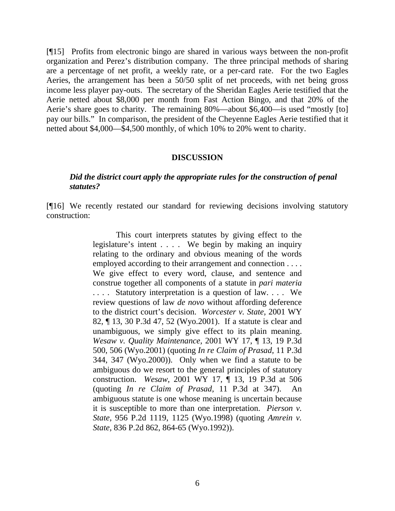[¶15] Profits from electronic bingo are shared in various ways between the non-profit organization and Perez's distribution company. The three principal methods of sharing are a percentage of net profit, a weekly rate, or a per-card rate. For the two Eagles Aeries, the arrangement has been a 50/50 split of net proceeds, with net being gross income less player pay-outs. The secretary of the Sheridan Eagles Aerie testified that the Aerie netted about \$8,000 per month from Fast Action Bingo, and that 20% of the Aerie's share goes to charity. The remaining 80%—about \$6,400—is used "mostly [to] pay our bills." In comparison, the president of the Cheyenne Eagles Aerie testified that it netted about \$4,000—\$4,500 monthly, of which 10% to 20% went to charity.

#### **DISCUSSION**

### *Did the district court apply the appropriate rules for the construction of penal statutes?*

[¶16] We recently restated our standard for reviewing decisions involving statutory construction:

> This court interprets statutes by giving effect to the legislature's intent . . . . We begin by making an inquiry relating to the ordinary and obvious meaning of the words employed according to their arrangement and connection . . . . We give effect to every word, clause, and sentence and construe together all components of a statute in *pari materia*  .... Statutory interpretation is a question of law.... We review questions of law *de novo* without affording deference to the district court's decision. *Worcester v. State,* 2001 WY 82, ¶ 13, 30 P.3d 47, 52 (Wyo.2001). If a statute is clear and unambiguous, we simply give effect to its plain meaning. *Wesaw v. Quality Maintenance,* 2001 WY 17, ¶ 13, 19 P.3d 500, 506 (Wyo.2001) (quoting *In re Claim of Prasad,* 11 P.3d 344, 347 (Wyo.2000)). Only when we find a statute to be ambiguous do we resort to the general principles of statutory construction. *Wesaw,* 2001 WY 17, ¶ 13, 19 P.3d at 506 (quoting *In re Claim of Prasad,* 11 P.3d at 347). An ambiguous statute is one whose meaning is uncertain because it is susceptible to more than one interpretation. *Pierson v. State,* 956 P.2d 1119, 1125 (Wyo.1998) (quoting *Amrein v. State,* 836 P.2d 862, 864-65 (Wyo.1992)).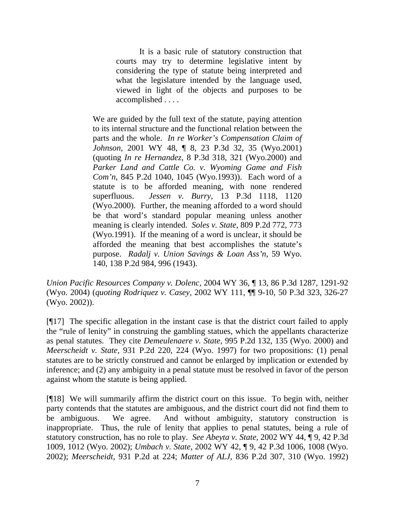It is a basic rule of statutory construction that courts may try to determine legislative intent by considering the type of statute being interpreted and what the legislature intended by the language used, viewed in light of the objects and purposes to be accomplished . . . .

We are guided by the full text of the statute, paying attention to its internal structure and the functional relation between the parts and the whole. *In re Worker's Compensation Claim of Johnson,* 2001 WY 48, ¶ 8, 23 P.3d 32, 35 (Wyo.2001) (quoting *In re Hernandez,* 8 P.3d 318, 321 (Wyo.2000) and *Parker Land and Cattle Co. v. Wyoming Game and Fish Com'n,* 845 P.2d 1040, 1045 (Wyo.1993)). Each word of a statute is to be afforded meaning, with none rendered superfluous. *Jessen v. Burry,* 13 P.3d 1118, 1120 (Wyo.2000). Further, the meaning afforded to a word should be that word's standard popular meaning unless another meaning is clearly intended. *Soles v. State,* 809 P.2d 772, 773 (Wyo.1991). If the meaning of a word is unclear, it should be afforded the meaning that best accomplishes the statute's purpose. *Radalj v. Union Savings & Loan Ass'n,* 59 Wyo. 140, 138 P.2d 984, 996 (1943).

*Union Pacific Resources Company v. Dolenc,* 2004 WY 36, ¶ 13, 86 P.3d 1287, 1291-92 (Wyo. 2004) (*quoting Rodriquez v. Casey,* 2002 WY 111, ¶¶ 9-10, 50 P.3d 323, 326-27 (Wyo. 2002)).

[¶17] The specific allegation in the instant case is that the district court failed to apply the "rule of lenity" in construing the gambling statues, which the appellants characterize as penal statutes. They cite *Demeulenaere v. State,* 995 P.2d 132, 135 (Wyo. 2000) and *Meerscheidt v. State,* 931 P.2d 220, 224 (Wyo. 1997) for two propositions: (1) penal statutes are to be strictly construed and cannot be enlarged by implication or extended by inference; and (2) any ambiguity in a penal statute must be resolved in favor of the person against whom the statute is being applied.

[¶18] We will summarily affirm the district court on this issue. To begin with, neither party contends that the statutes are ambiguous, and the district court did not find them to be ambiguous. We agree. And without ambiguity, statutory construction is inappropriate. Thus, the rule of lenity that applies to penal statutes, being a rule of statutory construction, has no role to play. *See Abeyta v. State,* 2002 WY 44, ¶ 9, 42 P.3d 1009, 1012 (Wyo. 2002); *Umbach v. State,* 2002 WY 42, ¶ 9, 42 P.3d 1006, 1008 (Wyo. 2002); *Meerscheidt,* 931 P.2d at 224; *Matter of ALJ,* 836 P.2d 307, 310 (Wyo. 1992)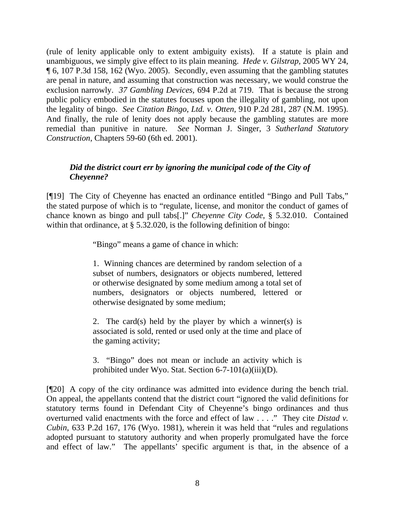(rule of lenity applicable only to extent ambiguity exists). If a statute is plain and unambiguous, we simply give effect to its plain meaning. *Hede v. Gilstrap,* 2005 WY 24, ¶ 6, 107 P.3d 158, 162 (Wyo. 2005). Secondly, even assuming that the gambling statutes are penal in nature, and assuming that construction was necessary, we would construe the exclusion narrowly. *37 Gambling Devices,* 694 P.2d at 719. That is because the strong public policy embodied in the statutes focuses upon the illegality of gambling, not upon the legality of bingo. *See Citation Bingo, Ltd. v. Otten,* 910 P.2d 281, 287 (N.M. 1995). And finally, the rule of lenity does not apply because the gambling statutes are more remedial than punitive in nature. *See* Norman J. Singer, 3 *Sutherland Statutory Construction*, Chapters 59-60 (6th ed. 2001).

# *Did the district court err by ignoring the municipal code of the City of Cheyenne?*

[¶19] The City of Cheyenne has enacted an ordinance entitled "Bingo and Pull Tabs," the stated purpose of which is to "regulate, license, and monitor the conduct of games of chance known as bingo and pull tabs[.]" *Cheyenne City Code*, § 5.32.010. Contained within that ordinance, at § 5.32.020, is the following definition of bingo:

"Bingo" means a game of chance in which:

1. Winning chances are determined by random selection of a subset of numbers, designators or objects numbered, lettered or otherwise designated by some medium among a total set of numbers, designators or objects numbered, lettered or otherwise designated by some medium;

2. The card(s) held by the player by which a winner(s) is associated is sold, rented or used only at the time and place of the gaming activity;

3. "Bingo" does not mean or include an activity which is prohibited under Wyo. Stat. Section 6-7-101(a)(iii)(D).

[¶20] A copy of the city ordinance was admitted into evidence during the bench trial. On appeal, the appellants contend that the district court "ignored the valid definitions for statutory terms found in Defendant City of Cheyenne's bingo ordinances and thus overturned valid enactments with the force and effect of law . . . ." They cite *Distad v. Cubin*, 633 P.2d 167, 176 (Wyo. 1981), wherein it was held that "rules and regulations adopted pursuant to statutory authority and when properly promulgated have the force and effect of law." The appellants' specific argument is that, in the absence of a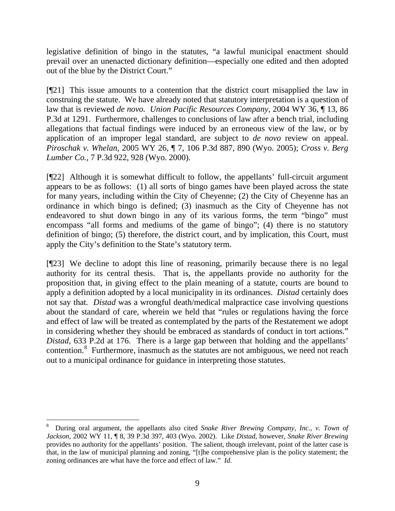legislative definition of bingo in the statutes, "a lawful municipal enactment should prevail over an unenacted dictionary definition—especially one edited and then adopted out of the blue by the District Court."

[¶21] This issue amounts to a contention that the district court misapplied the law in construing the statute. We have already noted that statutory interpretation is a question of law that is reviewed *de novo. Union Pacific Resources Company,* 2004 WY 36, ¶ 13, 86 P.3d at 1291. Furthermore, challenges to conclusions of law after a bench trial, including allegations that factual findings were induced by an erroneous view of the law, or by application of an improper legal standard, are subject to *de novo* review on appeal. *Piroschak v. Whelan,* 2005 WY 26, ¶ 7, 106 P.3d 887, 890 (Wyo. 2005); *Cross v. Berg Lumber Co.,* 7 P.3d 922, 928 (Wyo. 2000).

[¶22] Although it is somewhat difficult to follow, the appellants' full-circuit argument appears to be as follows: (1) all sorts of bingo games have been played across the state for many years, including within the City of Cheyenne; (2) the City of Cheyenne has an ordinance in which bingo is defined; (3) inasmuch as the City of Cheyenne has not endeavored to shut down bingo in any of its various forms, the term "bingo" must encompass "all forms and mediums of the game of bingo"; (4) there is no statutory definition of bingo; (5) therefore, the district court, and by implication, this Court, must apply the City's definition to the State's statutory term.

[¶23] We decline to adopt this line of reasoning, primarily because there is no legal authority for its central thesis. That is, the appellants provide no authority for the proposition that, in giving effect to the plain meaning of a statute, courts are bound to apply a definition adopted by a local municipality in its ordinances. *Distad* certainly does not say that. *Distad* was a wrongful death/medical malpractice case involving questions about the standard of care, wherein we held that "rules or regulations having the force and effect of law will be treated as contemplated by the parts of the Restatement we adopt in considering whether they should be embraced as standards of conduct in tort actions." *Distad,* 633 P.2d at 176. There is a large gap between that holding and the appellants' contention.<sup>[8](#page-10-0)</sup> Furthermore, inasmuch as the statutes are not ambiguous, we need not reach out to a municipal ordinance for guidance in interpreting those statutes.

<span id="page-10-0"></span> $\overline{a}$ 8 During oral argument, the appellants also cited *Snake River Brewing Company, Inc., v. Town of Jackson*, 2002 WY 11, ¶ 8, 39 P.3d 397, 403 (Wyo. 2002). Like *Distad*, however, *Snake River Brewing* provides no authority for the appellants' position. The salient, though irrelevant, point of the latter case is that, in the law of municipal planning and zoning, "[t]he comprehensive plan is the policy statement; the zoning ordinances are what have the force and effect of law." *Id.*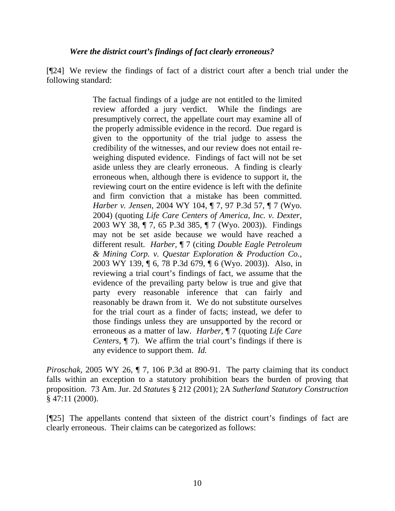### *Were the district court's findings of fact clearly erroneous?*

[¶24] We review the findings of fact of a district court after a bench trial under the following standard:

> The factual findings of a judge are not entitled to the limited review afforded a jury verdict. While the findings are presumptively correct, the appellate court may examine all of the properly admissible evidence in the record. Due regard is given to the opportunity of the trial judge to assess the credibility of the witnesses, and our review does not entail reweighing disputed evidence. Findings of fact will not be set aside unless they are clearly erroneous. A finding is clearly erroneous when, although there is evidence to support it, the reviewing court on the entire evidence is left with the definite and firm conviction that a mistake has been committed. *Harber v. Jensen,* 2004 WY 104, ¶ 7, 97 P.3d 57, ¶ 7 (Wyo. 2004) (quoting *Life Care Centers of America, Inc. v. Dexter,*  2003 WY 38, ¶ 7, 65 P.3d 385, ¶ 7 (Wyo. 2003)). Findings may not be set aside because we would have reached a different result. *Harber,* ¶ 7 (citing *Double Eagle Petroleum & Mining Corp. v. Questar Exploration & Production Co.,*  2003 WY 139, ¶ 6, 78 P.3d 679, ¶ 6 (Wyo. 2003)). Also, in reviewing a trial court's findings of fact, we assume that the evidence of the prevailing party below is true and give that party every reasonable inference that can fairly and reasonably be drawn from it. We do not substitute ourselves for the trial court as a finder of facts; instead, we defer to those findings unless they are unsupported by the record or erroneous as a matter of law. *Harber,* ¶ 7 (quoting *Life Care Centers,* ¶ 7). We affirm the trial court's findings if there is any evidence to support them. *Id.*

*Piroschak*, 2005 WY 26,  $\P$  7, 106 P.3d at 890-91. The party claiming that its conduct falls within an exception to a statutory prohibition bears the burden of proving that proposition. 73 Am. Jur. 2d *Statutes* § 212 (2001); 2A *Sutherland Statutory Construction*  § 47:11 (2000).

[¶25] The appellants contend that sixteen of the district court's findings of fact are clearly erroneous. Their claims can be categorized as follows: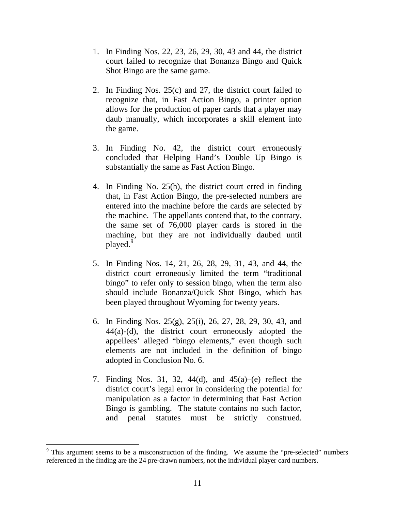- 1. In Finding Nos. 22, 23, 26, 29, 30, 43 and 44, the district court failed to recognize that Bonanza Bingo and Quick Shot Bingo are the same game.
- 2. In Finding Nos. 25(c) and 27, the district court failed to recognize that, in Fast Action Bingo, a printer option allows for the production of paper cards that a player may daub manually, which incorporates a skill element into the game.
- 3. In Finding No. 42, the district court erroneously concluded that Helping Hand's Double Up Bingo is substantially the same as Fast Action Bingo.
- 4. In Finding No. 25(h), the district court erred in finding that, in Fast Action Bingo, the pre-selected numbers are entered into the machine before the cards are selected by the machine. The appellants contend that, to the contrary, the same set of 76,000 player cards is stored in the machine, but they are not individually daubed until played.<sup>[9](#page-12-0)</sup>
- 5. In Finding Nos. 14, 21, 26, 28, 29, 31, 43, and 44, the district court erroneously limited the term "traditional bingo" to refer only to session bingo, when the term also should include Bonanza/Quick Shot Bingo, which has been played throughout Wyoming for twenty years.
- 6. In Finding Nos. 25(g), 25(i), 26, 27, 28, 29, 30, 43, and 44(a)-(d), the district court erroneously adopted the appellees' alleged "bingo elements," even though such elements are not included in the definition of bingo adopted in Conclusion No. 6.
- 7. Finding Nos. 31, 32, 44 $(d)$ , and 45 $(a)$ – $(e)$  reflect the district court's legal error in considering the potential for manipulation as a factor in determining that Fast Action Bingo is gambling. The statute contains no such factor, and penal statutes must be strictly construed.

<span id="page-12-0"></span> $9$  This argument seems to be a misconstruction of the finding. We assume the "pre-selected" numbers referenced in the finding are the 24 pre-drawn numbers, not the individual player card numbers.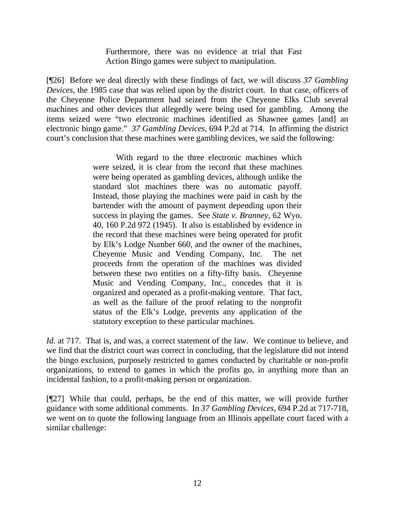Furthermore, there was no evidence at trial that Fast Action Bingo games were subject to manipulation.

[¶26] Before we deal directly with these findings of fact, we will discuss *37 Gambling Devices,* the 1985 case that was relied upon by the district court. In that case, officers of the Cheyenne Police Department had seized from the Cheyenne Elks Club several machines and other devices that allegedly were being used for gambling. Among the items seized were "two electronic machines identified as Shawnee games [and] an electronic bingo game." *37 Gambling Devices,* 694 P.2d at 714. In affirming the district court's conclusion that these machines were gambling devices, we said the following:

> With regard to the three electronic machines which were seized, it is clear from the record that these machines were being operated as gambling devices, although unlike the standard slot machines there was no automatic payoff. Instead, those playing the machines were paid in cash by the bartender with the amount of payment depending upon their success in playing the games. See *State v. Branney,* 62 Wyo. 40, 160 P.2d 972 (1945). It also is established by evidence in the record that these machines were being operated for profit by Elk's Lodge Number 660, and the owner of the machines, Cheyenne Music and Vending Company, Inc. The net proceeds from the operation of the machines was divided between these two entities on a fifty-fifty basis. Cheyenne Music and Vending Company, Inc., concedes that it is organized and operated as a profit-making venture. That fact, as well as the failure of the proof relating to the nonprofit status of the Elk's Lodge, prevents any application of the statutory exception to these particular machines.

*Id.* at 717. That is, and was, a correct statement of the law. We continue to believe, and we find that the district court was correct in concluding, that the legislature did not intend the bingo exclusion, purposely restricted to games conducted by charitable or non-profit organizations, to extend to games in which the profits go, in anything more than an incidental fashion, to a profit-making person or organization.

[¶27] While that could, perhaps, be the end of this matter, we will provide further guidance with some additional comments. In *37 Gambling Devices,* 694 P.2d at 717-718, we went on to quote the following language from an Illinois appellate court faced with a similar challenge: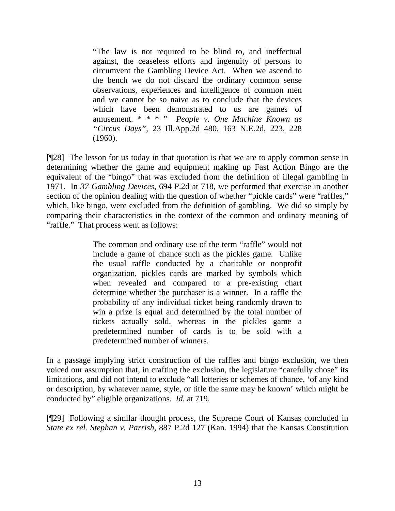"The law is not required to be blind to, and ineffectual against, the ceaseless efforts and ingenuity of persons to circumvent the Gambling Device Act. When we ascend to the bench we do not discard the ordinary common sense observations, experiences and intelligence of common men and we cannot be so naive as to conclude that the devices which have been demonstrated to us are games of amusement. \* \* \* " *People v. One Machine Known as "Circus Days",* 23 Ill.App.2d 480, 163 N.E.2d, 223, 228 (1960).

[¶28] The lesson for us today in that quotation is that we are to apply common sense in determining whether the game and equipment making up Fast Action Bingo are the equivalent of the "bingo" that was excluded from the definition of illegal gambling in 1971. In *37 Gambling Devices,* 694 P.2d at 718, we performed that exercise in another section of the opinion dealing with the question of whether "pickle cards" were "raffles," which, like bingo, were excluded from the definition of gambling. We did so simply by comparing their characteristics in the context of the common and ordinary meaning of "raffle." That process went as follows:

> The common and ordinary use of the term "raffle" would not include a game of chance such as the pickles game. Unlike the usual raffle conducted by a charitable or nonprofit organization, pickles cards are marked by symbols which when revealed and compared to a pre-existing chart determine whether the purchaser is a winner. In a raffle the probability of any individual ticket being randomly drawn to win a prize is equal and determined by the total number of tickets actually sold, whereas in the pickles game a predetermined number of cards is to be sold with a predetermined number of winners.

In a passage implying strict construction of the raffles and bingo exclusion, we then voiced our assumption that, in crafting the exclusion, the legislature "carefully chose" its limitations, and did not intend to exclude "all lotteries or schemes of chance, 'of any kind or description, by whatever name, style, or title the same may be known' which might be conducted by" eligible organizations. *Id.* at 719.

[¶29] Following a similar thought process, the Supreme Court of Kansas concluded in *State ex rel. Stephan v. Parrish,* 887 P.2d 127 (Kan. 1994) that the Kansas Constitution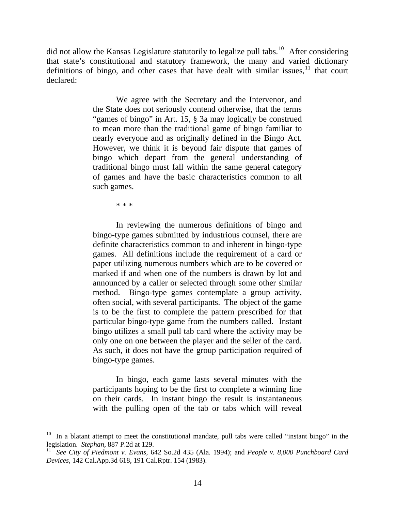did not allow the Kansas Legislature statutorily to legalize pull tabs.<sup>[10](#page-15-0)</sup> After considering that state's constitutional and statutory framework, the many and varied dictionary definitions of bingo, and other cases that have dealt with similar issues,  $\frac{11}{11}$  $\frac{11}{11}$  $\frac{11}{11}$  that court declared:

> We agree with the Secretary and the Intervenor, and the State does not seriously contend otherwise, that the terms "games of bingo" in Art. 15, § 3a may logically be construed to mean more than the traditional game of bingo familiar to nearly everyone and as originally defined in the Bingo Act. However, we think it is beyond fair dispute that games of bingo which depart from the general understanding of traditional bingo must fall within the same general category of games and have the basic characteristics common to all such games.

> > \* \* \*

 In reviewing the numerous definitions of bingo and bingo-type games submitted by industrious counsel, there are definite characteristics common to and inherent in bingo-type games. All definitions include the requirement of a card or paper utilizing numerous numbers which are to be covered or marked if and when one of the numbers is drawn by lot and announced by a caller or selected through some other similar method. Bingo-type games contemplate a group activity, often social, with several participants. The object of the game is to be the first to complete the pattern prescribed for that particular bingo-type game from the numbers called. Instant bingo utilizes a small pull tab card where the activity may be only one on one between the player and the seller of the card. As such, it does not have the group participation required of bingo-type games.

 In bingo, each game lasts several minutes with the participants hoping to be the first to complete a winning line on their cards. In instant bingo the result is instantaneous with the pulling open of the tab or tabs which will reveal

<span id="page-15-0"></span>In a blatant attempt to meet the constitutional mandate, pull tabs were called "instant bingo" in the legislation. *Stephan,* 887 P.2d at 129.

<span id="page-15-1"></span><sup>11</sup> *See City of Piedmont v. Evans,* 642 So.2d 435 (Ala. 1994); and *People v. 8,000 Punchboard Card Devices,* 142 Cal.App.3d 618, 191 Cal.Rptr. 154 (1983).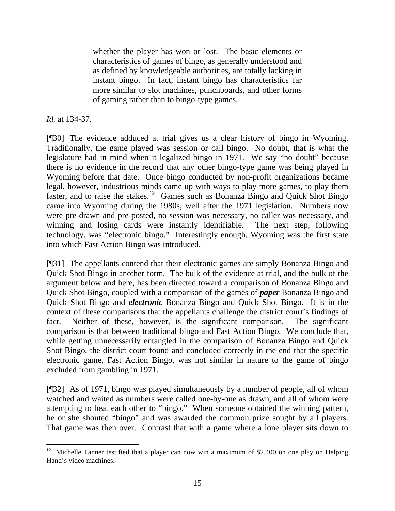whether the player has won or lost. The basic elements or characteristics of games of bingo, as generally understood and as defined by knowledgeable authorities, are totally lacking in instant bingo. In fact, instant bingo has characteristics far more similar to slot machines, punchboards, and other forms of gaming rather than to bingo-type games.

*Id.* at 134-37.

[¶30] The evidence adduced at trial gives us a clear history of bingo in Wyoming. Traditionally, the game played was session or call bingo. No doubt, that is what the legislature had in mind when it legalized bingo in 1971. We say "no doubt" because there is no evidence in the record that any other bingo-type game was being played in Wyoming before that date. Once bingo conducted by non-profit organizations became legal, however, industrious minds came up with ways to play more games, to play them faster, and to raise the stakes.<sup>[12](#page-16-0)</sup> Games such as Bonanza Bingo and Quick Shot Bingo came into Wyoming during the 1980s, well after the 1971 legislation. Numbers now were pre-drawn and pre-posted, no session was necessary, no caller was necessary, and winning and losing cards were instantly identifiable. The next step, following technology, was "electronic bingo." Interestingly enough, Wyoming was the first state into which Fast Action Bingo was introduced.

[¶31] The appellants contend that their electronic games are simply Bonanza Bingo and Quick Shot Bingo in another form. The bulk of the evidence at trial, and the bulk of the argument below and here, has been directed toward a comparison of Bonanza Bingo and Quick Shot Bingo, coupled with a comparison of the games of *paper* Bonanza Bingo and Quick Shot Bingo and *electronic* Bonanza Bingo and Quick Shot Bingo. It is in the context of these comparisons that the appellants challenge the district court's findings of fact. Neither of these, however, is the significant comparison. The significant comparison is that between traditional bingo and Fast Action Bingo. We conclude that, while getting unnecessarily entangled in the comparison of Bonanza Bingo and Quick Shot Bingo, the district court found and concluded correctly in the end that the specific electronic game, Fast Action Bingo, was not similar in nature to the game of bingo excluded from gambling in 1971.

[¶32] As of 1971, bingo was played simultaneously by a number of people, all of whom watched and waited as numbers were called one-by-one as drawn, and all of whom were attempting to beat each other to "bingo." When someone obtained the winning pattern, he or she shouted "bingo" and was awarded the common prize sought by all players. That game was then over. Contrast that with a game where a lone player sits down to

<span id="page-16-0"></span> $\overline{a}$ <sup>12</sup> Michelle Tanner testified that a player can now win a maximum of \$2,400 on one play on Helping Hand's video machines.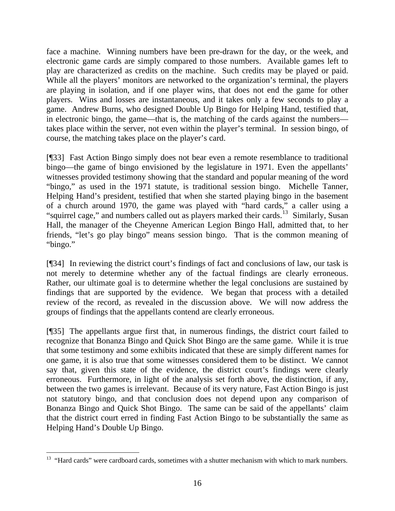face a machine. Winning numbers have been pre-drawn for the day, or the week, and electronic game cards are simply compared to those numbers. Available games left to play are characterized as credits on the machine. Such credits may be played or paid. While all the players' monitors are networked to the organization's terminal, the players are playing in isolation, and if one player wins, that does not end the game for other players. Wins and losses are instantaneous, and it takes only a few seconds to play a game. Andrew Burns, who designed Double Up Bingo for Helping Hand, testified that, in electronic bingo, the game—that is, the matching of the cards against the numbers takes place within the server, not even within the player's terminal. In session bingo, of course, the matching takes place on the player's card.

[¶33] Fast Action Bingo simply does not bear even a remote resemblance to traditional bingo—the game of bingo envisioned by the legislature in 1971. Even the appellants' witnesses provided testimony showing that the standard and popular meaning of the word "bingo," as used in the 1971 statute, is traditional session bingo. Michelle Tanner, Helping Hand's president, testified that when she started playing bingo in the basement of a church around 1970, the game was played with "hard cards," a caller using a "squirrel cage," and numbers called out as players marked their cards.<sup>[13](#page-17-0)</sup> Similarly, Susan Hall, the manager of the Cheyenne American Legion Bingo Hall, admitted that, to her friends, "let's go play bingo" means session bingo. That is the common meaning of "bingo."

[¶34] In reviewing the district court's findings of fact and conclusions of law, our task is not merely to determine whether any of the factual findings are clearly erroneous. Rather, our ultimate goal is to determine whether the legal conclusions are sustained by findings that are supported by the evidence. We began that process with a detailed review of the record, as revealed in the discussion above. We will now address the groups of findings that the appellants contend are clearly erroneous.

[¶35] The appellants argue first that, in numerous findings, the district court failed to recognize that Bonanza Bingo and Quick Shot Bingo are the same game. While it is true that some testimony and some exhibits indicated that these are simply different names for one game, it is also true that some witnesses considered them to be distinct. We cannot say that, given this state of the evidence, the district court's findings were clearly erroneous. Furthermore, in light of the analysis set forth above, the distinction, if any, between the two games is irrelevant. Because of its very nature, Fast Action Bingo is just not statutory bingo, and that conclusion does not depend upon any comparison of Bonanza Bingo and Quick Shot Bingo. The same can be said of the appellants' claim that the district court erred in finding Fast Action Bingo to be substantially the same as Helping Hand's Double Up Bingo.

<span id="page-17-0"></span><sup>&</sup>lt;sup>13</sup> "Hard cards" were cardboard cards, sometimes with a shutter mechanism with which to mark numbers.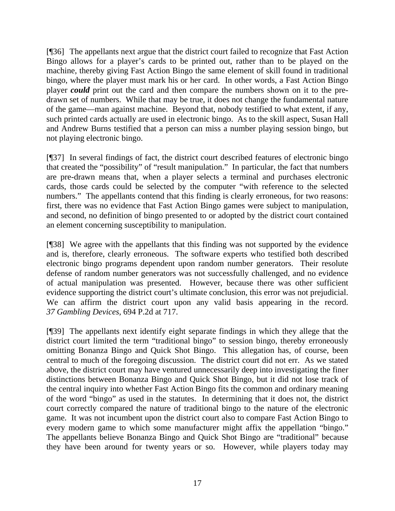[¶36] The appellants next argue that the district court failed to recognize that Fast Action Bingo allows for a player's cards to be printed out, rather than to be played on the machine, thereby giving Fast Action Bingo the same element of skill found in traditional bingo, where the player must mark his or her card. In other words, a Fast Action Bingo player *could* print out the card and then compare the numbers shown on it to the predrawn set of numbers. While that may be true, it does not change the fundamental nature of the game—man against machine. Beyond that, nobody testified to what extent, if any, such printed cards actually are used in electronic bingo. As to the skill aspect, Susan Hall and Andrew Burns testified that a person can miss a number playing session bingo, but not playing electronic bingo.

[¶37] In several findings of fact, the district court described features of electronic bingo that created the "possibility" of "result manipulation." In particular, the fact that numbers are pre-drawn means that, when a player selects a terminal and purchases electronic cards, those cards could be selected by the computer "with reference to the selected numbers." The appellants contend that this finding is clearly erroneous, for two reasons: first, there was no evidence that Fast Action Bingo games were subject to manipulation, and second, no definition of bingo presented to or adopted by the district court contained an element concerning susceptibility to manipulation.

[¶38] We agree with the appellants that this finding was not supported by the evidence and is, therefore, clearly erroneous. The software experts who testified both described electronic bingo programs dependent upon random number generators. Their resolute defense of random number generators was not successfully challenged, and no evidence of actual manipulation was presented. However, because there was other sufficient evidence supporting the district court's ultimate conclusion, this error was not prejudicial. We can affirm the district court upon any valid basis appearing in the record. *37 Gambling Devices,* 694 P.2d at 717.

[¶39] The appellants next identify eight separate findings in which they allege that the district court limited the term "traditional bingo" to session bingo, thereby erroneously omitting Bonanza Bingo and Quick Shot Bingo. This allegation has, of course, been central to much of the foregoing discussion. The district court did not err. As we stated above, the district court may have ventured unnecessarily deep into investigating the finer distinctions between Bonanza Bingo and Quick Shot Bingo, but it did not lose track of the central inquiry into whether Fast Action Bingo fits the common and ordinary meaning of the word "bingo" as used in the statutes. In determining that it does not, the district court correctly compared the nature of traditional bingo to the nature of the electronic game. It was not incumbent upon the district court also to compare Fast Action Bingo to every modern game to which some manufacturer might affix the appellation "bingo." The appellants believe Bonanza Bingo and Quick Shot Bingo are "traditional" because they have been around for twenty years or so. However, while players today may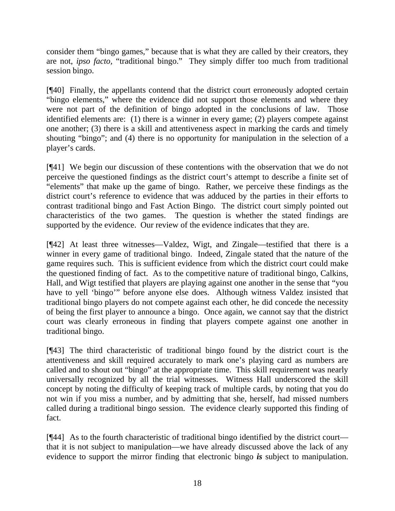consider them "bingo games," because that is what they are called by their creators, they are not, *ipso facto,* "traditional bingo." They simply differ too much from traditional session bingo.

[¶40] Finally, the appellants contend that the district court erroneously adopted certain "bingo elements," where the evidence did not support those elements and where they were not part of the definition of bingo adopted in the conclusions of law. Those identified elements are: (1) there is a winner in every game; (2) players compete against one another; (3) there is a skill and attentiveness aspect in marking the cards and timely shouting "bingo"; and (4) there is no opportunity for manipulation in the selection of a player's cards.

[¶41] We begin our discussion of these contentions with the observation that we do not perceive the questioned findings as the district court's attempt to describe a finite set of "elements" that make up the game of bingo. Rather, we perceive these findings as the district court's reference to evidence that was adduced by the parties in their efforts to contrast traditional bingo and Fast Action Bingo. The district court simply pointed out characteristics of the two games. The question is whether the stated findings are supported by the evidence. Our review of the evidence indicates that they are.

[¶42] At least three witnesses—Valdez, Wigt, and Zingale—testified that there is a winner in every game of traditional bingo. Indeed, Zingale stated that the nature of the game requires such. This is sufficient evidence from which the district court could make the questioned finding of fact. As to the competitive nature of traditional bingo, Calkins, Hall, and Wigt testified that players are playing against one another in the sense that "you have to yell 'bingo'" before anyone else does. Although witness Valdez insisted that traditional bingo players do not compete against each other, he did concede the necessity of being the first player to announce a bingo. Once again, we cannot say that the district court was clearly erroneous in finding that players compete against one another in traditional bingo.

[¶43] The third characteristic of traditional bingo found by the district court is the attentiveness and skill required accurately to mark one's playing card as numbers are called and to shout out "bingo" at the appropriate time. This skill requirement was nearly universally recognized by all the trial witnesses. Witness Hall underscored the skill concept by noting the difficulty of keeping track of multiple cards, by noting that you do not win if you miss a number, and by admitting that she, herself, had missed numbers called during a traditional bingo session. The evidence clearly supported this finding of fact.

[¶44] As to the fourth characteristic of traditional bingo identified by the district court that it is not subject to manipulation—we have already discussed above the lack of any evidence to support the mirror finding that electronic bingo *is* subject to manipulation.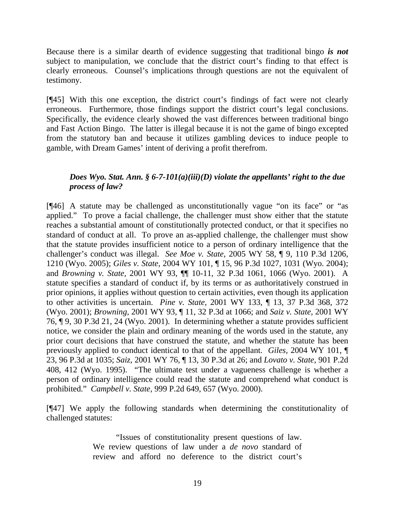Because there is a similar dearth of evidence suggesting that traditional bingo *is not* subject to manipulation, we conclude that the district court's finding to that effect is clearly erroneous. Counsel's implications through questions are not the equivalent of testimony.

[¶45] With this one exception, the district court's findings of fact were not clearly erroneous. Furthermore, those findings support the district court's legal conclusions. Specifically, the evidence clearly showed the vast differences between traditional bingo and Fast Action Bingo. The latter is illegal because it is not the game of bingo excepted from the statutory ban and because it utilizes gambling devices to induce people to gamble, with Dream Games' intent of deriving a profit therefrom.

# *Does Wyo. Stat. Ann. § 6-7-101(a)(iii)(D) violate the appellants' right to the due process of law?*

[¶46] A statute may be challenged as unconstitutionally vague "on its face" or "as applied." To prove a facial challenge, the challenger must show either that the statute reaches a substantial amount of constitutionally protected conduct, or that it specifies no standard of conduct at all. To prove an as-applied challenge, the challenger must show that the statute provides insufficient notice to a person of ordinary intelligence that the challenger's conduct was illegal. *See Moe v. State,* 2005 WY 58, ¶ 9, 110 P.3d 1206, 1210 (Wyo. 2005); *Giles v. State,* 2004 WY 101, ¶ 15, 96 P.3d 1027, 1031 (Wyo. 2004); and *Browning v. State,* 2001 WY 93, ¶¶ 10-11, 32 P.3d 1061, 1066 (Wyo. 2001). A statute specifies a standard of conduct if, by its terms or as authoritatively construed in prior opinions, it applies without question to certain activities, even though its application to other activities is uncertain. *Pine v. State,* 2001 WY 133, ¶ 13, 37 P.3d 368, 372 (Wyo. 2001); *Browning,* 2001 WY 93, ¶ 11, 32 P.3d at 1066; and *Saiz v. State,* 2001 WY 76, ¶ 9, 30 P.3d 21, 24 (Wyo. 2001). In determining whether a statute provides sufficient notice, we consider the plain and ordinary meaning of the words used in the statute, any prior court decisions that have construed the statute, and whether the statute has been previously applied to conduct identical to that of the appellant. *Giles,* 2004 WY 101, ¶ 23, 96 P.3d at 1035; *Saiz,* 2001 WY 76, ¶ 13, 30 P.3d at 26; and *Lovato v. State,* 901 P.2d 408, 412 (Wyo. 1995). "The ultimate test under a vagueness challenge is whether a person of ordinary intelligence could read the statute and comprehend what conduct is prohibited." *Campbell v. State,* 999 P.2d 649, 657 (Wyo. 2000).

[¶47] We apply the following standards when determining the constitutionality of challenged statutes:

> "Issues of constitutionality present questions of law. We review questions of law under a *de novo* standard of review and afford no deference to the district court's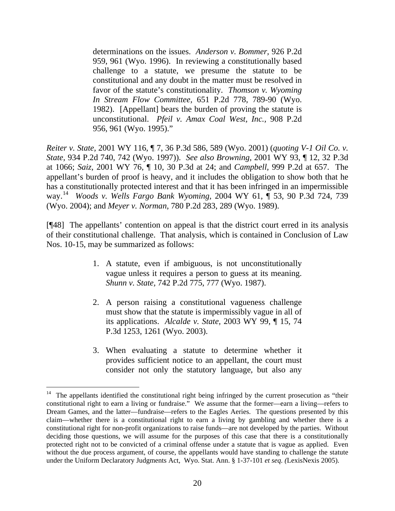determinations on the issues. *Anderson v. Bommer,* 926 P.2d 959, 961 (Wyo. 1996). In reviewing a constitutionally based challenge to a statute, we presume the statute to be constitutional and any doubt in the matter must be resolved in favor of the statute's constitutionality. *Thomson v. Wyoming In Stream Flow Committee,* 651 P.2d 778, 789-90 (Wyo. 1982). [Appellant] bears the burden of proving the statute is unconstitutional. *Pfeil v. Amax Coal West, Inc.,* 908 P.2d 956, 961 (Wyo. 1995)."

*Reiter v. State,* 2001 WY 116, ¶ 7, 36 P.3d 586, 589 (Wyo. 2001) (*quoting V-1 Oil Co. v. State,* 934 P.2d 740, 742 (Wyo. 1997)). *See also Browning,* 2001 WY 93, ¶ 12, 32 P.3d at 1066; *Saiz,* 2001 WY 76, ¶ 10, 30 P.3d at 24; and *Campbell,* 999 P.2d at 657. The appellant's burden of proof is heavy, and it includes the obligation to show both that he has a constitutionally protected interest and that it has been infringed in an impermissible way.[14](#page-21-0) *Woods v. Wells Fargo Bank Wyoming,* 2004 WY 61, ¶ 53, 90 P.3d 724, 739 (Wyo. 2004); and *Meyer v. Norman,* 780 P.2d 283, 289 (Wyo. 1989).

[¶48] The appellants' contention on appeal is that the district court erred in its analysis of their constitutional challenge. That analysis, which is contained in Conclusion of Law Nos. 10-15, may be summarized as follows:

- 1. A statute, even if ambiguous, is not unconstitutionally vague unless it requires a person to guess at its meaning. *Shunn v. State,* 742 P.2d 775, 777 (Wyo. 1987).
- 2. A person raising a constitutional vagueness challenge must show that the statute is impermissibly vague in all of its applications. *Alcalde v. State,* 2003 WY 99, ¶ 15, 74 P.3d 1253, 1261 (Wyo. 2003).
- 3. When evaluating a statute to determine whether it provides sufficient notice to an appellant, the court must consider not only the statutory language, but also any

<span id="page-21-0"></span>The appellants identified the constitutional right being infringed by the current prosecution as "their constitutional right to earn a living or fundraise." We assume that the former—earn a living—refers to Dream Games, and the latter—fundraise—refers to the Eagles Aeries. The questions presented by this claim—whether there is a constitutional right to earn a living by gambling and whether there is a constitutional right for non-profit organizations to raise funds—are not developed by the parties. Without deciding those questions, we will assume for the purposes of this case that there is a constitutionally protected right not to be convicted of a criminal offense under a statute that is vague as applied. Even without the due process argument, of course, the appellants would have standing to challenge the statute under the Uniform Declaratory Judgments Act, Wyo. Stat. Ann. § 1-37-101 *et seq. (*LexisNexis 2005).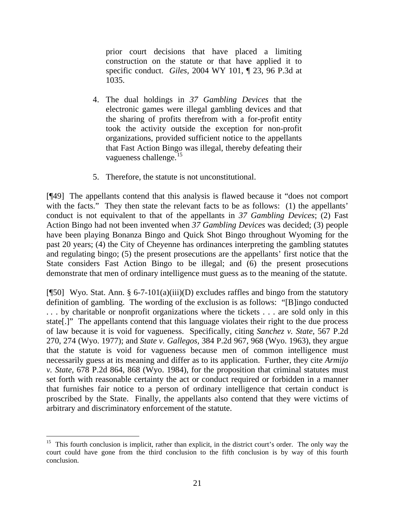prior court decisions that have placed a limiting construction on the statute or that have applied it to specific conduct. *Giles,* 2004 WY 101, ¶ 23, 96 P.3d at 1035.

- 4. The dual holdings in *37 Gambling Devices* that the electronic games were illegal gambling devices and that the sharing of profits therefrom with a for-profit entity took the activity outside the exception for non-profit organizations, provided sufficient notice to the appellants that Fast Action Bingo was illegal, thereby defeating their vagueness challenge.[15](#page-22-0)
- 5. Therefore, the statute is not unconstitutional.

[¶49] The appellants contend that this analysis is flawed because it "does not comport with the facts." They then state the relevant facts to be as follows: (1) the appellants' conduct is not equivalent to that of the appellants in *37 Gambling Devices*; (2) Fast Action Bingo had not been invented when *37 Gambling Devices* was decided; (3) people have been playing Bonanza Bingo and Quick Shot Bingo throughout Wyoming for the past 20 years; (4) the City of Cheyenne has ordinances interpreting the gambling statutes and regulating bingo; (5) the present prosecutions are the appellants' first notice that the State considers Fast Action Bingo to be illegal; and (6) the present prosecutions demonstrate that men of ordinary intelligence must guess as to the meaning of the statute.

[ $[$ 50] Wyo. Stat. Ann. § 6-7-101(a)(iii)(D) excludes raffles and bingo from the statutory definition of gambling. The wording of the exclusion is as follows: "[B]ingo conducted . . . by charitable or nonprofit organizations where the tickets . . . are sold only in this state[.]" The appellants contend that this language violates their right to the due process of law because it is void for vagueness. Specifically, citing *Sanchez v. State,* 567 P.2d 270, 274 (Wyo. 1977); and *State v. Gallegos,* 384 P.2d 967, 968 (Wyo. 1963), they argue that the statute is void for vagueness because men of common intelligence must necessarily guess at its meaning and differ as to its application. Further, they cite *Armijo v. State,* 678 P.2d 864, 868 (Wyo. 1984), for the proposition that criminal statutes must set forth with reasonable certainty the act or conduct required or forbidden in a manner that furnishes fair notice to a person of ordinary intelligence that certain conduct is proscribed by the State. Finally, the appellants also contend that they were victims of arbitrary and discriminatory enforcement of the statute.

<span id="page-22-0"></span><sup>&</sup>lt;sup>15</sup> This fourth conclusion is implicit, rather than explicit, in the district court's order. The only way the court could have gone from the third conclusion to the fifth conclusion is by way of this fourth conclusion.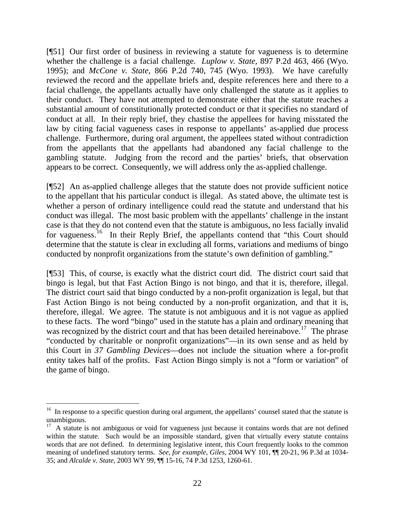[¶51] Our first order of business in reviewing a statute for vagueness is to determine whether the challenge is a facial challenge. *Luplow v. State,* 897 P.2d 463, 466 (Wyo. 1995); and *McCone v. State,* 866 P.2d 740, 745 (Wyo. 1993). We have carefully reviewed the record and the appellate briefs and, despite references here and there to a facial challenge, the appellants actually have only challenged the statute as it applies to their conduct. They have not attempted to demonstrate either that the statute reaches a substantial amount of constitutionally protected conduct or that it specifies no standard of conduct at all. In their reply brief, they chastise the appellees for having misstated the law by citing facial vagueness cases in response to appellants' as-applied due process challenge. Furthermore, during oral argument, the appellees stated without contradiction from the appellants that the appellants had abandoned any facial challenge to the gambling statute. Judging from the record and the parties' briefs, that observation appears to be correct. Consequently, we will address only the as-applied challenge.

[¶52] An as-applied challenge alleges that the statute does not provide sufficient notice to the appellant that his particular conduct is illegal. As stated above, the ultimate test is whether a person of ordinary intelligence could read the statute and understand that his conduct was illegal. The most basic problem with the appellants' challenge in the instant case is that they do not contend even that the statute is ambiguous, no less facially invalid for vagueness.<sup>[16](#page-23-0)</sup> In their Reply Brief, the appellants contend that "this Court should determine that the statute is clear in excluding all forms, variations and mediums of bingo conducted by nonprofit organizations from the statute's own definition of gambling."

[¶53] This, of course, is exactly what the district court did. The district court said that bingo is legal, but that Fast Action Bingo is not bingo, and that it is, therefore, illegal. The district court said that bingo conducted by a non-profit organization is legal, but that Fast Action Bingo is not being conducted by a non-profit organization, and that it is, therefore, illegal. We agree. The statute is not ambiguous and it is not vague as applied to these facts. The word "bingo" used in the statute has a plain and ordinary meaning that was recognized by the district court and that has been detailed hereinabove.<sup>[17](#page-23-1)</sup> The phrase "conducted by charitable or nonprofit organizations"—in its own sense and as held by this Court in *37 Gambling Devices*—does not include the situation where a for-profit entity takes half of the profits. Fast Action Bingo simply is not a "form or variation" of the game of bingo.

<span id="page-23-0"></span><sup>&</sup>lt;sup>16</sup> In response to a specific question during oral argument, the appellants' counsel stated that the statute is unambiguous.

<span id="page-23-1"></span><sup>&</sup>lt;sup>17</sup> A statute is not ambiguous or void for vagueness just because it contains words that are not defined within the statute. Such would be an impossible standard, given that virtually every statute contains words that are not defined. In determining legislative intent, this Court frequently looks to the common meaning of undefined statutory terms. *See, for example, Giles,* 2004 WY 101, ¶¶ 20-21, 96 P.3d at 1034- 35; and *Alcalde v. State,* 2003 WY 99, ¶¶ 15-16, 74 P.3d 1253, 1260-61.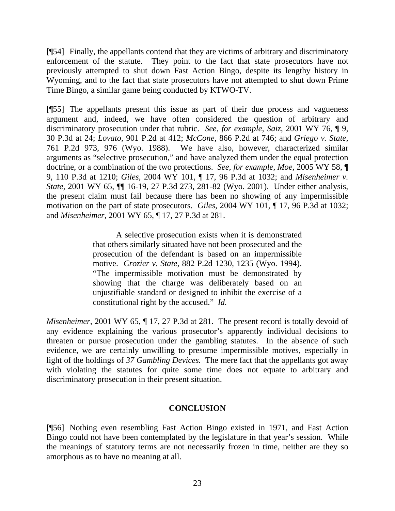[¶54] Finally, the appellants contend that they are victims of arbitrary and discriminatory enforcement of the statute. They point to the fact that state prosecutors have not previously attempted to shut down Fast Action Bingo, despite its lengthy history in Wyoming, and to the fact that state prosecutors have not attempted to shut down Prime Time Bingo, a similar game being conducted by KTWO-TV.

[¶55] The appellants present this issue as part of their due process and vagueness argument and, indeed, we have often considered the question of arbitrary and discriminatory prosecution under that rubric. *See, for example, Saiz*, 2001 WY 76, ¶ 9, 30 P.3d at 24; *Lovato,* 901 P.2d at 412; *McCone,* 866 P.2d at 746; and *Griego v. State,*  761 P.2d 973, 976 (Wyo. 1988). We have also, however, characterized similar arguments as "selective prosecution," and have analyzed them under the equal protection doctrine, or a combination of the two protections. *See, for example, Moe,* 2005 WY 58, ¶ 9, 110 P.3d at 1210; *Giles,* 2004 WY 101, ¶ 17, 96 P.3d at 1032; and *Misenheimer v. State,* 2001 WY 65, ¶¶ 16-19, 27 P.3d 273, 281-82 (Wyo. 2001). Under either analysis, the present claim must fail because there has been no showing of any impermissible motivation on the part of state prosecutors. *Giles,* 2004 WY 101, ¶ 17, 96 P.3d at 1032; and *Misenheimer,* 2001 WY 65, ¶ 17, 27 P.3d at 281.

> A selective prosecution exists when it is demonstrated that others similarly situated have not been prosecuted and the prosecution of the defendant is based on an impermissible motive. *Crozier v. State,* 882 P.2d 1230, 1235 (Wyo. 1994). "The impermissible motivation must be demonstrated by showing that the charge was deliberately based on an unjustifiable standard or designed to inhibit the exercise of a constitutional right by the accused." *Id.*

*Misenheimer, 2001 WY 65, 17, 27 P.3d at 281. The present record is totally devoid of* any evidence explaining the various prosecutor's apparently individual decisions to threaten or pursue prosecution under the gambling statutes. In the absence of such evidence, we are certainly unwilling to presume impermissible motives, especially in light of the holdings of *37 Gambling Devices.* The mere fact that the appellants got away with violating the statutes for quite some time does not equate to arbitrary and discriminatory prosecution in their present situation.

### **CONCLUSION**

[¶56] Nothing even resembling Fast Action Bingo existed in 1971, and Fast Action Bingo could not have been contemplated by the legislature in that year's session. While the meanings of statutory terms are not necessarily frozen in time, neither are they so amorphous as to have no meaning at all.